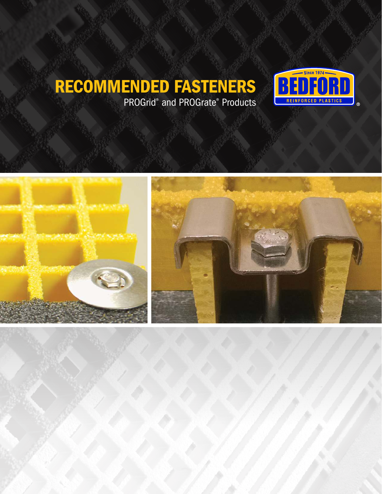### RECOMMENDED FASTENERS PROGrid® and PROGrate® Products





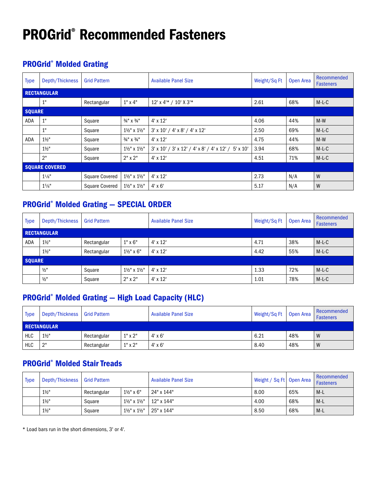# PROGrid® Recommended Fasteners

### PROGrid® Molded Grating

| <b>Type</b>   | Depth/Thickness       | <b>Grid Pattern</b>   |                                     | <b>Available Panel Size</b>                           | Weight/Sq Ft | Open Area | Recommended<br><b>Fasteners</b> |
|---------------|-----------------------|-----------------------|-------------------------------------|-------------------------------------------------------|--------------|-----------|---------------------------------|
|               | <b>RECTANGULAR</b>    |                       |                                     |                                                       |              |           |                                 |
|               | 1"                    | Rectangular           | $1" \times 4"$                      | 12' x 4'* / 10' X 3'*                                 | 2.61         | 68%       | $M-L-C$                         |
| <b>SQUARE</b> |                       |                       |                                     |                                                       |              |           |                                 |
| ADA           | 1"                    | Square                | $3/4$ " X $3/4$ "                   | $4' \times 12'$                                       | 4.06         | 44%       | $M-W$                           |
|               | 1"                    | Square                | $1\frac{1}{2}$ " x $1\frac{1}{2}$ " | $3'$ x 10' / 4' x 8' / 4' x 12'                       | 2.50         | 69%       | $M-L-C$                         |
| ADA           | $1\frac{1}{2}$        | Square                | $3/4$ " X $3/4$ "                   | $4' \times 12'$                                       | 4.75         | 44%       | $M-W$                           |
|               | $1\frac{1}{2}$        | Square                | 11/2" x 11/2"                       | $3'$ x 10' / 3' x 12' / 4' x 8' / 4' x 12' / 5' x 10' | 3.94         | 68%       | $M-L-C$                         |
|               | 2"                    | Square                | $2"$ x $2"$                         | $4' \times 12'$                                       | 4.51         | 71%       | $M-L-C$                         |
|               | <b>SQUARE COVERED</b> |                       |                                     |                                                       |              |           |                                 |
|               | $1\frac{1}{8}$ "      | <b>Square Covered</b> | $1\frac{1}{2}$ " x $1\frac{1}{2}$ " | $4' \times 12'$                                       | 2.73         | N/A       | W                               |
|               | 15/8"                 | <b>Square Covered</b> | $1\frac{1}{2}$ " x $1\frac{1}{2}$ " | $4' \times 6'$                                        | 5.17         | N/A       | W                               |

#### PROGrid® Molded Grating — SPECIAL ORDER

| <b>Type</b>        | Depth/Thickness  | <b>Grid Pattern</b> |                                     | <b>Available Panel Size</b> | Weight/Sq Ft | Open Area | Recommended<br><b>Fasteners</b> |
|--------------------|------------------|---------------------|-------------------------------------|-----------------------------|--------------|-----------|---------------------------------|
| <b>RECTANGULAR</b> |                  |                     |                                     |                             |              |           |                                 |
| <b>ADA</b>         | $1\frac{1}{2}$ " | Rectangular         | $1" \times 6"$                      | $4' \times 12'$             | 4.71         | 38%       | $M-L-C$                         |
|                    | $1\frac{1}{2}$   | Rectangular         | $1\frac{1}{2}$ " x 6"               | $4' \times 12'$             | 4.42         | 55%       | $M-L-C$                         |
| <b>SQUARE</b>      |                  |                     |                                     |                             |              |           |                                 |
|                    | $\frac{1}{2}$ "  | Square              | $1\frac{1}{2}$ " x $1\frac{1}{2}$ " | $4'$ x $12'$                | 1.33         | 72%       | $M-L-C$                         |
|                    | $\frac{1}{2}$ "  | Square              | $2"$ x $2"$                         | $4' \times 12'$             | 1.01         | 78%       | $M-L-C$                         |

#### PROGrid® Molded Grating — High Load Capacity (HLC)

| <b>Type</b> | Depth/Thickness   Grid Pattern |             |                | <b>Available Panel Size</b> | Weight/Sq Ft | Open Area | Recommended<br>Fasteners |  |  |  |  |
|-------------|--------------------------------|-------------|----------------|-----------------------------|--------------|-----------|--------------------------|--|--|--|--|
|             | <b>RECTANGULAR</b>             |             |                |                             |              |           |                          |  |  |  |  |
| <b>HLC</b>  | $1\frac{1}{2}$ "               | Rectangular | $1"$ x $2"$    | $4' \times 6'$              | 6.21         | 48%       | W                        |  |  |  |  |
| <b>HLC</b>  | ייר                            | Rectangular | $1" \times 2"$ | 4' x 6'                     | 8.40         | 48%       | W                        |  |  |  |  |

#### PROGrid® Molded Stair Treads

| Type | Depth/Thickness   Grid Pattern |             |                                     | <b>Available Panel Size</b> | Weight / Sq Ft   Open Area |     | Recommended<br><b>Fasteners</b> |
|------|--------------------------------|-------------|-------------------------------------|-----------------------------|----------------------------|-----|---------------------------------|
|      | $1\frac{1}{2}$                 | Rectangular | $1\frac{1}{2}$ " x 6"               | 24" x 144"                  | 8.00                       | 65% | $M-L$                           |
|      | $1\frac{1}{2}$                 | Square      | $1\frac{1}{2}$ " x $1\frac{1}{2}$ " | 12" x 144"                  | 4.00                       | 68% | $M-L$                           |
|      | $1\frac{1}{2}$                 | Square      | $1\frac{1}{2}$ " x $1\frac{1}{2}$ " | 25" x 144"                  | 8.50                       | 68% | $M-L$                           |

\* Load bars run in the short dimensions, 3' or 4'.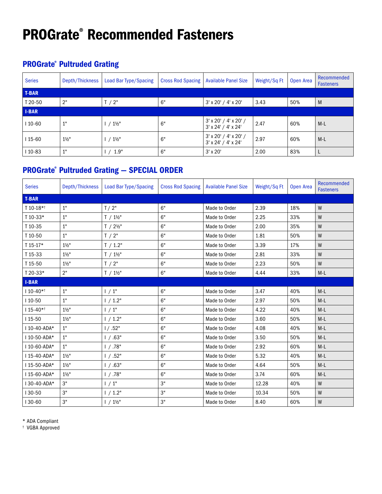# PROGrate® Recommended Fasteners

#### PROGrate® Pultruded Grating

| <b>Series</b> | Depth/Thickness  | <b>Load Bar Type/Spacing</b> | <b>Cross Rod Spacing</b> | <b>Available Panel Size</b>                      | Weight/Sq Ft | Open Area | Recommended<br><b>Fasteners</b> |
|---------------|------------------|------------------------------|--------------------------|--------------------------------------------------|--------------|-----------|---------------------------------|
| <b>T-BAR</b>  |                  |                              |                          |                                                  |              |           |                                 |
| T 20-50       | 2"               | T/2"                         | 6"                       | $3'$ x 20' / 4' x 20'                            | 3.43         | 50%       | M                               |
| <b>I-BAR</b>  |                  |                              |                          |                                                  |              |           |                                 |
| $110-60$      | 1"               | $/1\frac{1}{2}$ "            | 6"                       | $3'$ x 20' / 4' x 20' /<br>3' x 24' / 4' x 24'   | 2.47         | 60%       | $M-L$                           |
| $115-60$      | $1\frac{1}{2}$ " | $1 / 1\frac{1}{2}$           | 6"                       | $3'$ x 20' / 4' x 20' /<br>$3'$ x 24' / 4' x 24' | 2.97         | 60%       | $M-L$                           |
| $110-83$      | 1"               | 1.9"                         | 6"                       | $3' \times 20'$                                  | 2.00         | 83%       |                                 |

#### PROGrate® Pultruded Grating — SPECIAL ORDER

| <b>Series</b> | Depth/Thickness  | <b>Load Bar Type/Spacing</b> | <b>Cross Rod Spacing</b> | <b>Available Panel Size</b> | Weight/Sq Ft | Open Area | <b>Recommended</b><br><b>Fasteners</b> |
|---------------|------------------|------------------------------|--------------------------|-----------------------------|--------------|-----------|----------------------------------------|
| <b>T-BAR</b>  |                  |                              |                          |                             |              |           |                                        |
| T 10-18*1     | $1"$             | T/2"                         | 6"                       | Made to Order               | 2.39         | 18%       | W                                      |
| T 10-33*      | 1"               | $T / 1\frac{1}{2}$           | 6"                       | Made to Order               | 2.25         | 33%       | W                                      |
| T 10-35       | 1"               | $T / 2\frac{1}{2}$ "         | 6"                       | Made to Order               | 2.00         | 35%       | W                                      |
| T 10-50       | 1"               | T / 2"                       | 6"                       | Made to Order               | 1.81         | 50%       | W                                      |
| T 15-17*      | $1\frac{1}{2}$ " | T / 1.2"                     | 6"                       | Made to Order               | 3.39         | 17%       | W                                      |
| T 15-33       | $1\frac{1}{2}$ " | $T / 1\frac{1}{2}$           | 6"                       | Made to Order               | 2.81         | 33%       | W                                      |
| T 15-50       | $1\frac{1}{2}$   | T/2"                         | 6"                       | Made to Order               | 2.23         | 50%       | ${\sf W}$                              |
| T 20-33*      | 2"               | $T / 1\frac{1}{2}$           | 6"                       | Made to Order               | 4.44         | 33%       | $M-L$                                  |
| <b>I-BAR</b>  |                  |                              |                          |                             |              |           |                                        |
| $110 - 40**$  | 1"               | 1/1"                         | 6"                       | Made to Order               | 3.47         | 40%       | $M-L$                                  |
| $110-50$      | 1"               | 1 / 1.2"                     | 6"                       | Made to Order               | 2.97         | 50%       | $M-L$                                  |
| $115-40**$    | $1\frac{1}{2}$ " | 1/1"                         | 6"                       | Made to Order               | 4.22         | 40%       | $M-L$                                  |
| $115 - 50$    | $1\frac{1}{2}$ " | 1 / 1.2"                     | 6"                       | Made to Order               | 3.60         | 50%       | $M-L$                                  |
| 110-40-ADA*   | 1"               | 1/.52"                       | 6"                       | Made to Order               | 4.08         | 40%       | $M-L$                                  |
| 110-50-ADA*   | 1"               | 1 / .63"                     | 6"                       | Made to Order               | 3.50         | 50%       | $M-L$                                  |
| I 10-60-ADA*  | 1"               | 1 / .78"                     | 6"                       | Made to Order               | 2.92         | 60%       | $M-L$                                  |
| 115-40-ADA*   | $1\frac{1}{2}$ " | 1 / .52"                     | 6"                       | Made to Order               | 5.32         | 40%       | $M-L$                                  |
| 115-50-ADA*   | $1\frac{1}{2}$ " | 1 / .63"                     | 6"                       | Made to Order               | 4.64         | 50%       | $M-L$                                  |
| I 15-60-ADA*  | $1\frac{1}{2}$ " | 1 / .78"                     | 6"                       | Made to Order               | 3.74         | 60%       | $M-L$                                  |
| 130-40-ADA*   | З"               | $1/1$ "                      | $3"$                     | Made to Order               | 12.28        | 40%       | W                                      |
| 130-50        | 3"               | 1/1.2"                       | 3"                       | Made to Order               | 10.34        | 50%       | W                                      |
| 130-60        | 3"               | $1 / 1\frac{1}{2}$           | $3"$                     | Made to Order               | 8.40         | 60%       | W                                      |

\* ADA Compliant

† VGBA Approved